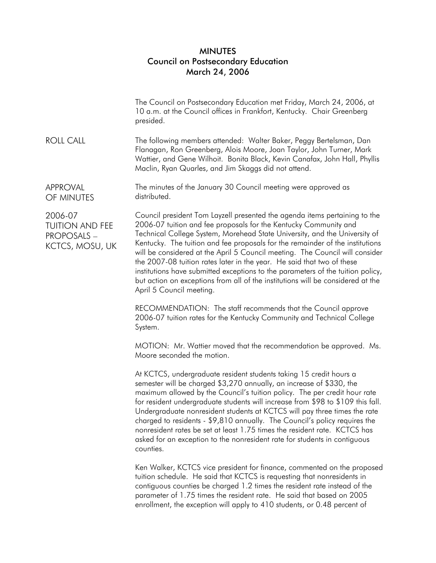## MINUTES Council on Postsecondary Education March 24, 2006

|                                                                            | The Council on Postsecondary Education met Friday, March 24, 2006, at<br>10 a.m. at the Council offices in Frankfort, Kentucky. Chair Greenberg<br>presided.                                                                                                                                                                                                                                                                                                                                                                                                                                                                                                              |
|----------------------------------------------------------------------------|---------------------------------------------------------------------------------------------------------------------------------------------------------------------------------------------------------------------------------------------------------------------------------------------------------------------------------------------------------------------------------------------------------------------------------------------------------------------------------------------------------------------------------------------------------------------------------------------------------------------------------------------------------------------------|
| <b>ROLL CALL</b>                                                           | The following members attended: Walter Baker, Peggy Bertelsman, Dan<br>Flanagan, Ron Greenberg, Alois Moore, Joan Taylor, John Turner, Mark<br>Wattier, and Gene Wilhoit. Bonita Black, Kevin Canafax, John Hall, Phyllis<br>Maclin, Ryan Quarles, and Jim Skaggs did not attend.                                                                                                                                                                                                                                                                                                                                                                                         |
| <b>APPROVAL</b><br>OF MINUTES                                              | The minutes of the January 30 Council meeting were approved as<br>distributed.                                                                                                                                                                                                                                                                                                                                                                                                                                                                                                                                                                                            |
| 2006-07<br><b>TUITION AND FEE</b><br><b>PROPOSALS -</b><br>KCTCS, MOSU, UK | Council president Tom Layzell presented the agenda items pertaining to the<br>2006-07 tuition and fee proposals for the Kentucky Community and<br>Technical College System, Morehead State University, and the University of<br>Kentucky. The tuition and fee proposals for the remainder of the institutions<br>will be considered at the April 5 Council meeting. The Council will consider<br>the 2007-08 tuition rates later in the year. He said that two of these<br>institutions have submitted exceptions to the parameters of the tuition policy,<br>but action on exceptions from all of the institutions will be considered at the<br>April 5 Council meeting. |
|                                                                            | RECOMMENDATION: The staff recommends that the Council approve<br>2006-07 tuition rates for the Kentucky Community and Technical College<br>System.                                                                                                                                                                                                                                                                                                                                                                                                                                                                                                                        |
|                                                                            | MOTION: Mr. Wattier moved that the recommendation be approved. Ms.<br>Moore seconded the motion.                                                                                                                                                                                                                                                                                                                                                                                                                                                                                                                                                                          |
|                                                                            | At KCTCS, undergraduate resident students taking 15 credit hours a<br>semester will be charged \$3,270 annually, an increase of \$330, the<br>maximum allowed by the Council's tuition policy. The per credit hour rate<br>for resident undergraduate students will increase from \$98 to \$109 this fall.<br>Undergraduate nonresident students at KCTCS will pay three times the rate<br>charged to residents - \$9,810 annually. The Council's policy requires the<br>nonresident rates be set at least 1.75 times the resident rate. KCTCS has<br>asked for an exception to the nonresident rate for students in contiguous<br>counties.                              |
|                                                                            | Ken Walker, KCTCS vice president for finance, commented on the proposed<br>tuition schedule. He said that KCTCS is requesting that nonresidents in<br>contiguous counties be charged 1.2 times the resident rate instead of the<br>parameter of 1.75 times the resident rate. He said that based on 2005<br>enrollment, the exception will apply to 410 students, or 0.48 percent of                                                                                                                                                                                                                                                                                      |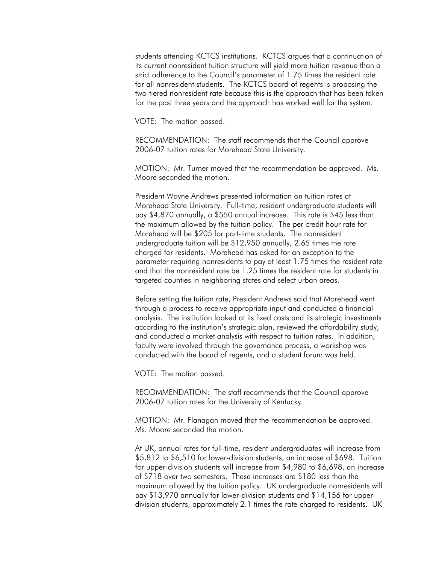students attending KCTCS institutions. KCTCS argues that a continuation of its current nonresident tuition structure will yield more tuition revenue than a strict adherence to the Council's parameter of 1.75 times the resident rate for all nonresident students. The KCTCS board of regents is proposing the two-tiered nonresident rate because this is the approach that has been taken for the past three years and the approach has worked well for the system.

VOTE: The motion passed.

RECOMMENDATION: The staff recommends that the Council approve 2006-07 tuition rates for Morehead State University.

MOTION: Mr. Turner moved that the recommendation be approved. Ms. Moore seconded the motion.

President Wayne Andrews presented information on tuition rates at Morehead State University. Full-time, resident undergraduate students will pay \$4,870 annually, a \$550 annual increase. This rate is \$45 less than the maximum allowed by the tuition policy. The per credit hour rate for Morehead will be \$205 for part-time students. The nonresident undergraduate tuition will be \$12,950 annually, 2.65 times the rate charged for residents. Morehead has asked for an exception to the parameter requiring nonresidents to pay at least 1.75 times the resident rate and that the nonresident rate be 1.25 times the resident rate for students in targeted counties in neighboring states and select urban areas.

Before setting the tuition rate, President Andrews said that Morehead went through a process to receive appropriate input and conducted a financial analysis. The institution looked at its fixed costs and its strategic investments according to the institution's strategic plan, reviewed the affordability study, and conducted a market analysis with respect to tuition rates. In addition, faculty were involved through the governance process, a workshop was conducted with the board of regents, and a student forum was held.

VOTE: The motion passed.

RECOMMENDATION: The staff recommends that the Council approve 2006-07 tuition rates for the University of Kentucky.

MOTION: Mr. Flanagan moved that the recommendation be approved. Ms. Moore seconded the motion.

At UK, annual rates for full-time, resident undergraduates will increase from \$5,812 to \$6,510 for lower-division students, an increase of \$698. Tuition for upper-division students will increase from \$4,980 to \$6,698, an increase of \$718 over two semesters. These increases are \$180 less than the maximum allowed by the tuition policy. UK undergraduate nonresidents will pay \$13,970 annually for lower-division students and \$14,156 for upperdivision students, approximately 2.1 times the rate charged to residents. UK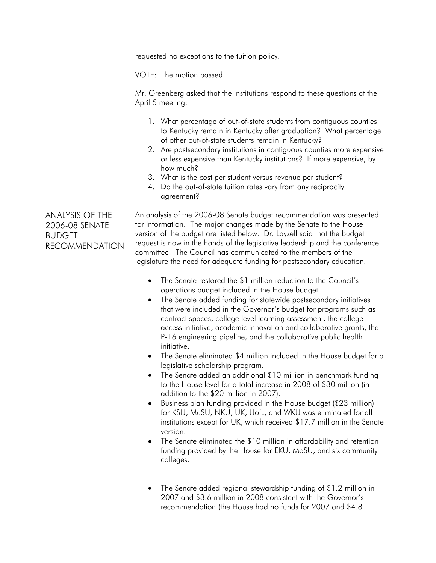requested no exceptions to the tuition policy.

VOTE: The motion passed.

Mr. Greenberg asked that the institutions respond to these questions at the April 5 meeting:

- 1. What percentage of out-of-state students from contiguous counties to Kentucky remain in Kentucky after graduation? What percentage of other out-of-state students remain in Kentucky?
- 2. Are postsecondary institutions in contiguous counties more expensive or less expensive than Kentucky institutions? If more expensive, by how much?
- 3. What is the cost per student versus revenue per student?
- 4. Do the out-of-state tuition rates vary from any reciprocity agreement?

ANALYSIS OF THE 2006-08 SENATE BUDGET RECOMMENDATION An analysis of the 2006-08 Senate budget recommendation was presented for information. The major changes made by the Senate to the House version of the budget are listed below. Dr. Layzell said that the budget request is now in the hands of the legislative leadership and the conference committee. The Council has communicated to the members of the legislature the need for adequate funding for postsecondary education.

- The Senate restored the \$1 million reduction to the Council's operations budget included in the House budget.
- The Senate added funding for statewide postsecondary initiatives that were included in the Governor's budget for programs such as contract spaces, college level learning assessment, the college access initiative, academic innovation and collaborative grants, the P-16 engineering pipeline, and the collaborative public health initiative.
- The Senate eliminated \$4 million included in the House budget for a legislative scholarship program.
- The Senate added an additional \$10 million in benchmark funding to the House level for a total increase in 2008 of \$30 million (in addition to the \$20 million in 2007).
- Business plan funding provided in the House budget (\$23 million) for KSU, MuSU, NKU, UK, UofL, and WKU was eliminated for all institutions except for UK, which received \$17.7 million in the Senate version.
- The Senate eliminated the \$10 million in affordability and retention funding provided by the House for EKU, MoSU, and six community colleges.
- The Senate added regional stewardship funding of \$1.2 million in 2007 and \$3.6 million in 2008 consistent with the Governor's recommendation (the House had no funds for 2007 and \$4.8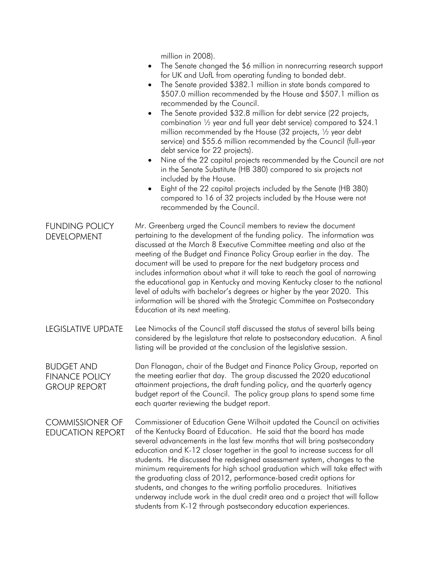million in 2008).

- The Senate changed the \$6 million in nonrecurring research support for UK and UofL from operating funding to bonded debt.
- The Senate provided \$382.1 million in state bonds compared to \$507.0 million recommended by the House and \$507.1 million as recommended by the Council.
- The Senate provided \$32.8 million for debt service (22 projects, combination ½ year and full year debt service) compared to \$24.1 million recommended by the House (32 projects, ½ year debt service) and \$55.6 million recommended by the Council (full-year debt service for 22 projects).
- Nine of the 22 capital projects recommended by the Council are not in the Senate Substitute (HB 380) compared to six projects not included by the House.
- Eight of the 22 capital projects included by the Senate (HB 380) compared to 16 of 32 projects included by the House were not recommended by the Council.

FUNDING POLICY DEVELOPMENT Mr. Greenberg urged the Council members to review the document pertaining to the development of the funding policy. The information was discussed at the March 8 Executive Committee meeting and also at the meeting of the Budget and Finance Policy Group earlier in the day. The document will be used to prepare for the next budgetary process and includes information about what it will take to reach the goal of narrowing the educational gap in Kentucky and moving Kentucky closer to the national level of adults with bachelor's degrees or higher by the year 2020. This information will be shared with the Strategic Committee on Postsecondary Education at its next meeting.

LEGISLATIVE UPDATE Lee Nimocks of the Council staff discussed the status of several bills being considered by the legislature that relate to postsecondary education. A final listing will be provided at the conclusion of the legislative session.

BUDGET AND FINANCE POLICY GROUP REPORT Dan Flanagan, chair of the Budget and Finance Policy Group, reported on the meeting earlier that day. The group discussed the 2020 educational attainment projections, the draft funding policy, and the quarterly agency budget report of the Council. The policy group plans to spend some time each quarter reviewing the budget report.

COMMISSIONER OF EDUCATION REPORT Commissioner of Education Gene Wilhoit updated the Council on activities of the Kentucky Board of Education. He said that the board has made several advancements in the last few months that will bring postsecondary education and K-12 closer together in the goal to increase success for all students. He discussed the redesigned assessment system, changes to the minimum requirements for high school graduation which will take effect with the graduating class of 2012, performance-based credit options for students, and changes to the writing portfolio procedures. Initiatives underway include work in the dual credit area and a project that will follow students from K-12 through postsecondary education experiences.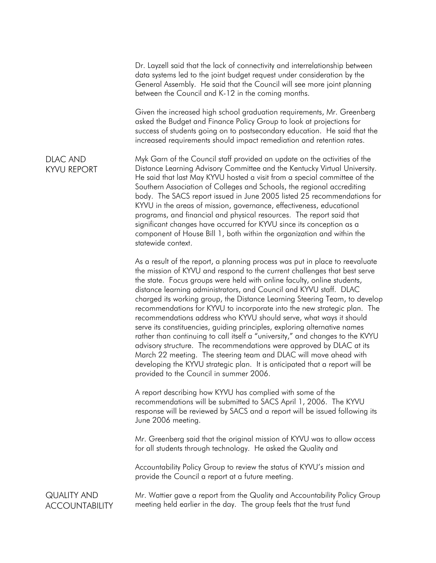Dr. Layzell said that the lack of connectivity and interrelationship between data systems led to the joint budget request under consideration by the General Assembly. He said that the Council will see more joint planning between the Council and K-12 in the coming months.

Given the increased high school graduation requirements, Mr. Greenberg asked the Budget and Finance Policy Group to look at projections for success of students going on to postsecondary education. He said that the increased requirements should impact remediation and retention rates.

DLAC AND KYVU REPORT Myk Garn of the Council staff provided an update on the activities of the Distance Learning Advisory Committee and the Kentucky Virtual University. He said that last May KYVU hosted a visit from a special committee of the Southern Association of Colleges and Schools, the regional accrediting body. The SACS report issued in June 2005 listed 25 recommendations for KYVU in the areas of mission, governance, effectiveness, educational programs, and financial and physical resources. The report said that significant changes have occurred for KYVU since its conception as a component of House Bill 1, both within the organization and within the statewide context.

> As a result of the report, a planning process was put in place to reevaluate the mission of KYVU and respond to the current challenges that best serve the state. Focus groups were held with online faculty, online students, distance learning administrators, and Council and KYVU staff. DLAC charged its working group, the Distance Learning Steering Team, to develop recommendations for KYVU to incorporate into the new strategic plan. The recommendations address who KYVU should serve, what ways it should serve its constituencies, guiding principles, exploring alternative names rather than continuing to call itself a "university," and changes to the KVYU advisory structure. The recommendations were approved by DLAC at its March 22 meeting. The steering team and DLAC will move ahead with developing the KYVU strategic plan. It is anticipated that a report will be provided to the Council in summer 2006.

A report describing how KYVU has complied with some of the recommendations will be submitted to SACS April 1, 2006. The KYVU response will be reviewed by SACS and a report will be issued following its June 2006 meeting.

Mr. Greenberg said that the original mission of KYVU was to allow access for all students through technology. He asked the Quality and

Accountability Policy Group to review the status of KYVU's mission and provide the Council a report at a future meeting.

QUALITY AND ACCOUNTABILITY Mr. Wattier gave a report from the Quality and Accountability Policy Group meeting held earlier in the day. The group feels that the trust fund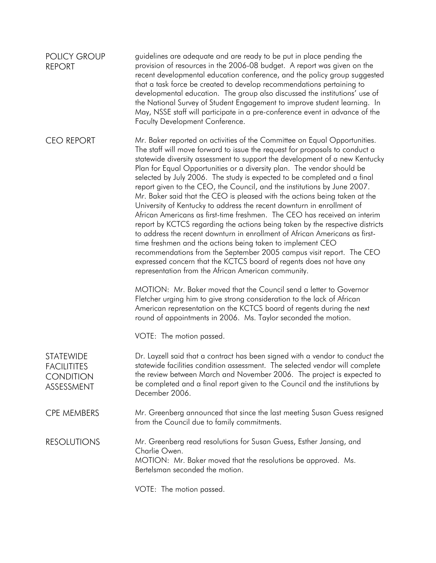| <b>POLICY GROUP</b><br><b>REPORT</b>                                     | guidelines are adequate and are ready to be put in place pending the<br>provision of resources in the 2006-08 budget. A report was given on the<br>recent developmental education conference, and the policy group suggested<br>that a task force be created to develop recommendations pertaining to<br>developmental education. The group also discussed the institutions' use of<br>the National Survey of Student Engagement to improve student learning. In<br>May, NSSE staff will participate in a pre-conference event in advance of the<br><b>Faculty Development Conference.</b>                                                                                                                                                                                                                                                                                                                                                                                                                                                                                                                                                                                                                                                                                                                                                                                                                                                                                 |
|--------------------------------------------------------------------------|----------------------------------------------------------------------------------------------------------------------------------------------------------------------------------------------------------------------------------------------------------------------------------------------------------------------------------------------------------------------------------------------------------------------------------------------------------------------------------------------------------------------------------------------------------------------------------------------------------------------------------------------------------------------------------------------------------------------------------------------------------------------------------------------------------------------------------------------------------------------------------------------------------------------------------------------------------------------------------------------------------------------------------------------------------------------------------------------------------------------------------------------------------------------------------------------------------------------------------------------------------------------------------------------------------------------------------------------------------------------------------------------------------------------------------------------------------------------------|
| <b>CEO REPORT</b>                                                        | Mr. Baker reported on activities of the Committee on Equal Opportunities.<br>The staff will move forward to issue the request for proposals to conduct a<br>statewide diversity assessment to support the development of a new Kentucky<br>Plan for Equal Opportunities or a diversity plan. The vendor should be<br>selected by July 2006. The study is expected to be completed and a final<br>report given to the CEO, the Council, and the institutions by June 2007.<br>Mr. Baker said that the CEO is pleased with the actions being taken at the<br>University of Kentucky to address the recent downturn in enrollment of<br>African Americans as first-time freshmen. The CEO has received an interim<br>report by KCTCS regarding the actions being taken by the respective districts<br>to address the recent downturn in enrollment of African Americans as first-<br>time freshmen and the actions being taken to implement CEO<br>recommendations from the September 2005 campus visit report. The CEO<br>expressed concern that the KCTCS board of regents does not have any<br>representation from the African American community.<br>MOTION: Mr. Baker moved that the Council send a letter to Governor<br>Fletcher urging him to give strong consideration to the lack of African<br>American representation on the KCTCS board of regents during the next<br>round of appointments in 2006. Ms. Taylor seconded the motion.<br>VOTE: The motion passed. |
|                                                                          |                                                                                                                                                                                                                                                                                                                                                                                                                                                                                                                                                                                                                                                                                                                                                                                                                                                                                                                                                                                                                                                                                                                                                                                                                                                                                                                                                                                                                                                                            |
| <b>STATEWIDE</b><br><b>FACILITITES</b><br><b>CONDITION</b><br>ASSESSMENT | Dr. Layzell said that a contract has been signed with a vendor to conduct the<br>statewide facilities condition assessment. The selected vendor will complete<br>the review between March and November 2006. The project is expected to<br>be completed and a final report given to the Council and the institutions by<br>December 2006.                                                                                                                                                                                                                                                                                                                                                                                                                                                                                                                                                                                                                                                                                                                                                                                                                                                                                                                                                                                                                                                                                                                                  |
| <b>CPE MEMBERS</b>                                                       | Mr. Greenberg announced that since the last meeting Susan Guess resigned<br>from the Council due to family commitments.                                                                                                                                                                                                                                                                                                                                                                                                                                                                                                                                                                                                                                                                                                                                                                                                                                                                                                                                                                                                                                                                                                                                                                                                                                                                                                                                                    |
| <b>RESOLUTIONS</b>                                                       | Mr. Greenberg read resolutions for Susan Guess, Esther Jansing, and<br>Charlie Owen.<br>MOTION: Mr. Baker moved that the resolutions be approved. Ms.<br>Bertelsman seconded the motion.                                                                                                                                                                                                                                                                                                                                                                                                                                                                                                                                                                                                                                                                                                                                                                                                                                                                                                                                                                                                                                                                                                                                                                                                                                                                                   |
|                                                                          | VOTE: The motion passed.                                                                                                                                                                                                                                                                                                                                                                                                                                                                                                                                                                                                                                                                                                                                                                                                                                                                                                                                                                                                                                                                                                                                                                                                                                                                                                                                                                                                                                                   |